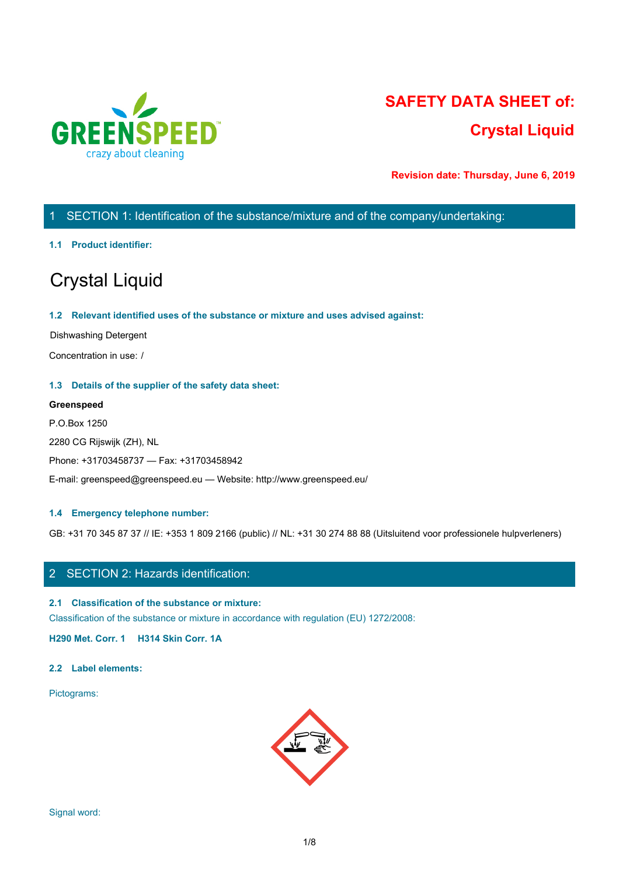

# **SAFETY DATA SHEET of: Crystal Liquid**

**Revision date: Thursday, June 6, 2019**

# 1 SECTION 1: Identification of the substance/mixture and of the company/undertaking:

#### **1.1 Product identifier:**

# Crystal Liquid

#### **1.2 Relevant identified uses of the substance or mixture and uses advised against:**

Dishwashing Detergent

Concentration in use: /

#### **1.3 Details of the supplier of the safety data sheet:**

#### **Greenspeed**

P.O.Box 1250 2280 CG Rijswijk (ZH), NL Phone: +31703458737 — Fax: +31703458942 E-mail: greenspeed@greenspeed.eu — Website: http://www.greenspeed.eu/

#### **1.4 Emergency telephone number:**

GB: +31 70 345 87 37 // IE: +353 1 809 2166 (public) // NL: +31 30 274 88 88 (Uitsluitend voor professionele hulpverleners)

# 2 SECTION 2: Hazards identification:

#### **2.1 Classification of the substance or mixture:**

Classification of the substance or mixture in accordance with regulation (EU) 1272/2008:

**H290 Met. Corr. 1 H314 Skin Corr. 1A**

#### **2.2 Label elements:**

Pictograms:

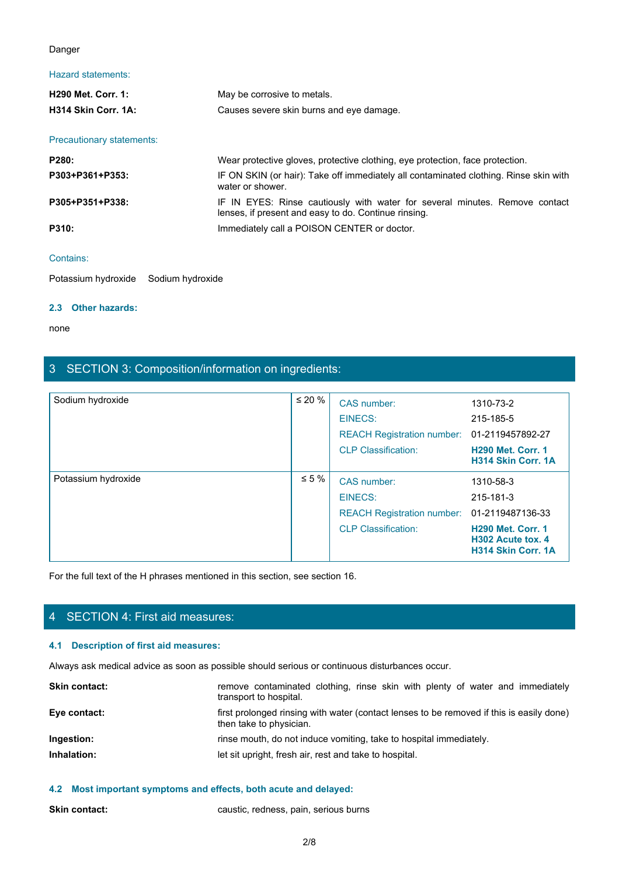#### Danger

## Hazard statements:

| Danger                               |                                                                                                                                     |  |
|--------------------------------------|-------------------------------------------------------------------------------------------------------------------------------------|--|
| Hazard statements:                   |                                                                                                                                     |  |
| H290 Met. Corr. 1:                   | May be corrosive to metals.                                                                                                         |  |
| H314 Skin Corr. 1A:                  | Causes severe skin burns and eye damage.                                                                                            |  |
| Precautionary statements:            |                                                                                                                                     |  |
| P280:                                | Wear protective gloves, protective clothing, eye protection, face protection.                                                       |  |
| P303+P361+P353:                      | IF ON SKIN (or hair): Take off immediately all contaminated clothing. Rinse skin with<br>water or shower.                           |  |
| P305+P351+P338:                      | IF IN EYES: Rinse cautiously with water for several minutes. Remove contact<br>lenses, if present and easy to do. Continue rinsing. |  |
| P310:                                | Immediately call a POISON CENTER or doctor.                                                                                         |  |
| Contains:                            |                                                                                                                                     |  |
| Potassium hydroxide Sodium hydroxide |                                                                                                                                     |  |

#### Contains:

Potassium hydroxide Sodium hydroxide

#### **2.3 Other hazards:**

none and the state of the state of the state of the state of the state of the state of the state of the state of the state of the state of the state of the state of the state of the state of the state of the state of the s

# 3 SECTION 3: Composition/information on ingredients:

| 3 SECTION 3: Composition/information on ingredients: |                                                                                                |                                                                                                     |                                                                         |
|------------------------------------------------------|------------------------------------------------------------------------------------------------|-----------------------------------------------------------------------------------------------------|-------------------------------------------------------------------------|
| Sodium hydroxide                                     | $\leq 20 \%$                                                                                   | CAS number:<br><b>EINECS:</b><br><b>REACH Registration number:</b><br><b>CLP Classification:</b>    | 1310-73-2<br>215-185-5<br>01-2119457892-27<br><b>H290 Met. Corr. 1</b>  |
|                                                      |                                                                                                |                                                                                                     | H314 Skin Corr. 1A                                                      |
| Potassium hydroxide                                  | $\leq 5\%$                                                                                     | CAS number:<br>EINECS:<br>REACH Registration number: 01-2119487136-33<br><b>CLP Classification:</b> | 1310-58-3<br>215-181-3<br><b>H290 Met. Corr. 1</b><br>H302 Acute tox. 4 |
|                                                      | For the full text of the H phrases mentioned in this section, see section 16.                  |                                                                                                     | H314 Skin Corr. 1A                                                      |
|                                                      |                                                                                                |                                                                                                     |                                                                         |
| 4 SECTION 4: First aid measures:                     |                                                                                                |                                                                                                     |                                                                         |
| 4.1 Description of first aid measures:               |                                                                                                |                                                                                                     |                                                                         |
|                                                      | Always ask medical advice as soon as possible should serious or continuous disturbances occur. |                                                                                                     |                                                                         |
| Skin contact:                                        | transport to hospital.                                                                         | remove contaminated clothing, rinse skin with plenty of water and immediately                       |                                                                         |
| Eye contact:                                         | then take to physician.                                                                        | first prolonged rinsing with water (contact lenses to be removed if this is easily done)            |                                                                         |
| Ingestion:                                           |                                                                                                | rinse mouth, do not induce vomiting, take to hospital immediately.                                  |                                                                         |
| Inhalation:                                          |                                                                                                | let sit upright, fresh air, rest and take to hospital.                                              |                                                                         |

# 4 SECTION 4: First aid measures:

## **4.1 Description of first aid measures:**

| <b>Skin contact:</b> | remove contaminated clothing, rinse skin with plenty of water and immediately<br>transport to hospital.             |
|----------------------|---------------------------------------------------------------------------------------------------------------------|
| Eye contact:         | first prolonged rinsing with water (contact lenses to be removed if this is easily done)<br>then take to physician. |
| Ingestion:           | rinse mouth, do not induce vomiting, take to hospital immediately.                                                  |
| Inhalation:          | let sit upright, fresh air, rest and take to hospital.                                                              |
|                      |                                                                                                                     |

## **4.2 Most important symptoms and effects, both acute and delayed:**

**Skin contact:** caustic, redness, pain, serious burns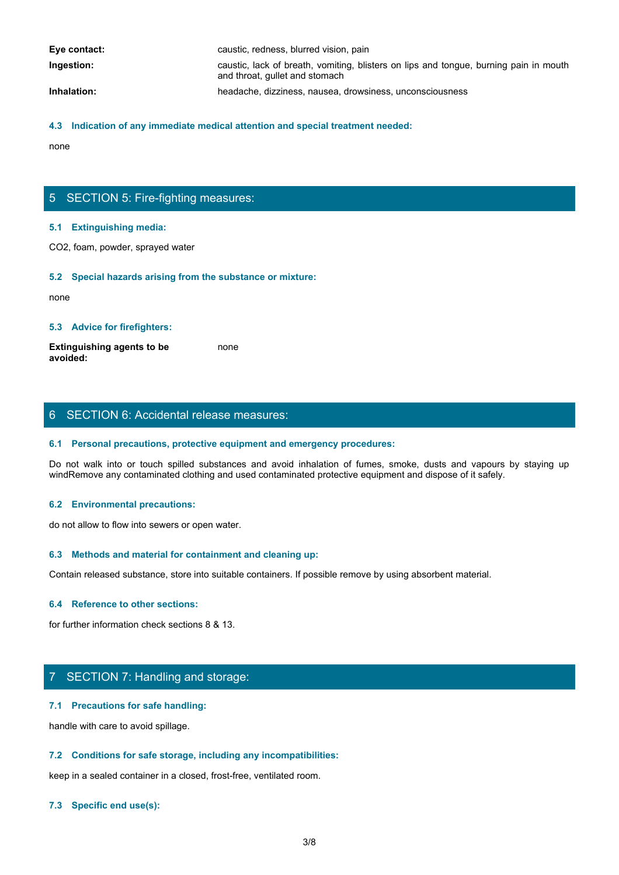| Eye contact: | caustic, redness, blurred vision, pain                                                                                  |
|--------------|-------------------------------------------------------------------------------------------------------------------------|
| Ingestion:   | caustic, lack of breath, vomiting, blisters on lips and tongue, burning pain in mouth<br>and throat, gullet and stomach |
| Inhalation:  | headache, dizziness, nausea, drowsiness, unconsciousness                                                                |

#### **4.3 Indication of any immediate medical attention and special treatment needed:**

none and the state of the state of the state of the state of the state of the state of the state of the state of the state of the state of the state of the state of the state of the state of the state of the state of the s

# 5 SECTION 5: Fire-fighting measures:

#### **5.1 Extinguishing media:**

CO2, foam, powder, sprayed water

#### **5.2 Special hazards arising from the substance or mixture:**

none and the state of the state of the state of the state of the state of the state of the state of the state of the state of the state of the state of the state of the state of the state of the state of the state of the s

#### **5.3 Advice for firefighters:**

**Extinguishing agents to be avoided:** none and the state of the state of the state of the state of the state of the state of the state of the state of the state of the state of the state of the state of the state of the state of the state of the state of the s

# 6 SECTION 6: Accidental release measures:

#### **6.1 Personal precautions, protective equipment and emergency procedures:**

Donce<br>
S. S. Extinguishing media:<br>
CO2, foam, powder, sprayed water<br>
S. S. Special hazards arising from the substance or mixture:<br>
Extinguishing agents to be<br>
worlded:<br>
S. Advice for firefighters:<br>
S. Personal precautions, windRemove any contaminated clothing and used contaminated protective equipment and dispose of it safely.

#### **6.2 Environmental precautions:**

do not allow to flow into sewers or open water.

#### **6.3 Methods and material for containment and cleaning up:**

Contain released substance, store into suitable containers. If possible remove by using absorbent material.

#### **6.4 Reference to other sections:**

for further information check sections 8 & 13.

# 7 SECTION 7: Handling and storage:

#### **7.1 Precautions for safe handling:**

handle with care to avoid spillage.

#### **7.2 Conditions for safe storage, including any incompatibilities:**

keep in a sealed container in a closed, frost-free, ventilated room.

#### **7.3 Specific end use(s):**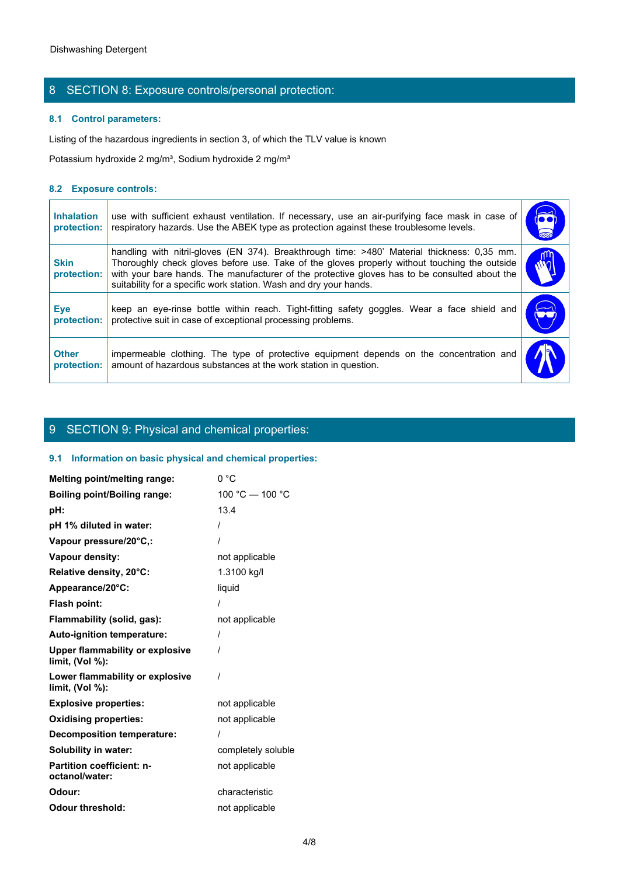# 8 SECTION 8: Exposure controls/personal protection:

## **8.1 Control parameters:**

#### **8.2 Exposure controls:**

| <b>Dishwashing Detergent</b>     |                                                                                                                                                                                                                                                                                                                                                                   |                             |
|----------------------------------|-------------------------------------------------------------------------------------------------------------------------------------------------------------------------------------------------------------------------------------------------------------------------------------------------------------------------------------------------------------------|-----------------------------|
|                                  | 8 SECTION 8: Exposure controls/personal protection:                                                                                                                                                                                                                                                                                                               |                             |
|                                  | 8.1 Control parameters:                                                                                                                                                                                                                                                                                                                                           |                             |
|                                  | Listing of the hazardous ingredients in section 3, of which the TLV value is known                                                                                                                                                                                                                                                                                |                             |
|                                  | Potassium hydroxide 2 mg/m <sup>3</sup> , Sodium hydroxide 2 mg/m <sup>3</sup>                                                                                                                                                                                                                                                                                    |                             |
| 8.2 Exposure controls:           |                                                                                                                                                                                                                                                                                                                                                                   |                             |
| <b>Inhalation</b><br>protection: | use with sufficient exhaust ventilation. If necessary, use an air-purifying face mask in case of<br>respiratory hazards. Use the ABEK type as protection against these troublesome levels.                                                                                                                                                                        | $\overline{\bullet\bullet}$ |
| <b>Skin</b><br>protection:       | handling with nitril-gloves (EN 374). Breakthrough time: >480' Material thickness: 0,35 mm.<br>Thoroughly check gloves before use. Take of the gloves properly without touching the outside<br>with your bare hands. The manufacturer of the protective gloves has to be consulted about the<br>suitability for a specific work station. Wash and dry your hands. | rη<br>$\tilde{w}$           |
| <b>Eye</b><br>protection:        | keep an eye-rinse bottle within reach. Tight-fitting safety goggles. Wear a face shield and<br>protective suit in case of exceptional processing problems.                                                                                                                                                                                                        |                             |
| <b>Other</b><br>protection:      | impermeable clothing. The type of protective equipment depends on the concentration and<br>amount of hazardous substances at the work station in question.                                                                                                                                                                                                        |                             |

# 9 SECTION 9: Physical and chemical properties:

## **9.1 Information on basic physical and chemical properties:**

| Melting point/melting range:                          | 0 °C               |
|-------------------------------------------------------|--------------------|
| <b>Boiling point/Boiling range:</b>                   | 100 °C - 100 °C    |
| pH:                                                   | 13.4               |
| pH 1% diluted in water:                               |                    |
| Vapour pressure/20°C,:                                |                    |
| Vapour density:                                       | not applicable     |
| Relative density, 20°C:                               | 1.3100 kg/l        |
| Appearance/20°C:                                      | liquid             |
| <b>Flash point:</b>                                   |                    |
| Flammability (solid, gas):                            | not applicable     |
| Auto-ignition temperature:                            | $\prime$           |
| Upper flammability or explosive<br>limit, $(Vol %)$ : |                    |
| Lower flammability or explosive<br>limit, $(Vol %)$ : |                    |
| <b>Explosive properties:</b>                          | not applicable     |
| <b>Oxidising properties:</b>                          | not applicable     |
| <b>Decomposition temperature:</b>                     |                    |
| <b>Solubility in water:</b>                           | completely soluble |
| Partition coefficient: n-<br>octanol/water:           | not applicable     |
| Odour:                                                | characteristic     |
| <b>Odour threshold:</b>                               | not applicable     |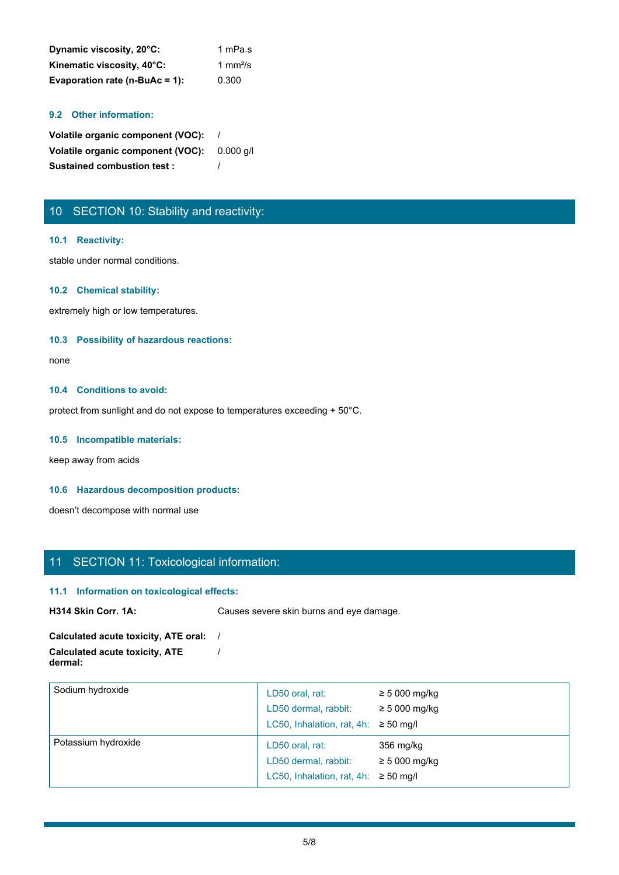| Dynamic viscosity, 20°C:       | 1 mPa.s |
|--------------------------------|---------|
| Kinematic viscosity, 40°C:     | 1 mm²/s |
| Evaporation rate (n-BuAc = 1): | 0.300   |

#### **9.2 Other information:**

**Volatile organic component (VOC):** / **Volatile organic component (VOC):** 0.000 g/l **Sustained combustion test :** /

# 10 SECTION 10: Stability and reactivity:

#### **10.1 Reactivity:**

stable under normal conditions.

#### **10.2 Chemical stability:**

extremely high or low temperatures.

#### **10.3 Possibility of hazardous reactions:**

none and the state of the state of the state of the state of the state of the state of the state of the state of the state of the state of the state of the state of the state of the state of the state of the state of the s

#### **10.4 Conditions to avoid:**

protect from sunlight and do not expose to temperatures exceeding + 50°C.

#### **10.5 Incompatible materials:**

keep away from acids

#### **10.6 Hazardous decomposition products:**

doesn't decompose with normal use

# 11 SECTION 11: Toxicological information:

#### **11.1 Information on toxicological effects:**

**H314 Skin Corr. 1A:** Causes severe skin burns and eye damage.

#### **Calculated acute toxicity, ATE oral:** / **Calculated acute toxicity, ATE dermal:** /

| Sodium hydroxide    | LD50 oral, rat:<br>LD50 dermal, rabbit:<br>LC50, Inhalation, rat, 4h: $\geq$ 50 mg/l | $\geq 5000$ mg/kg<br>$\geq 5000$ mg/kg |  |
|---------------------|--------------------------------------------------------------------------------------|----------------------------------------|--|
| Potassium hydroxide | LD50 oral, rat:<br>LD50 dermal, rabbit:<br>LC50, Inhalation, rat, 4h: $\geq$ 50 mg/l | 356 mg/kg<br>$\geq 5000$ mg/kg         |  |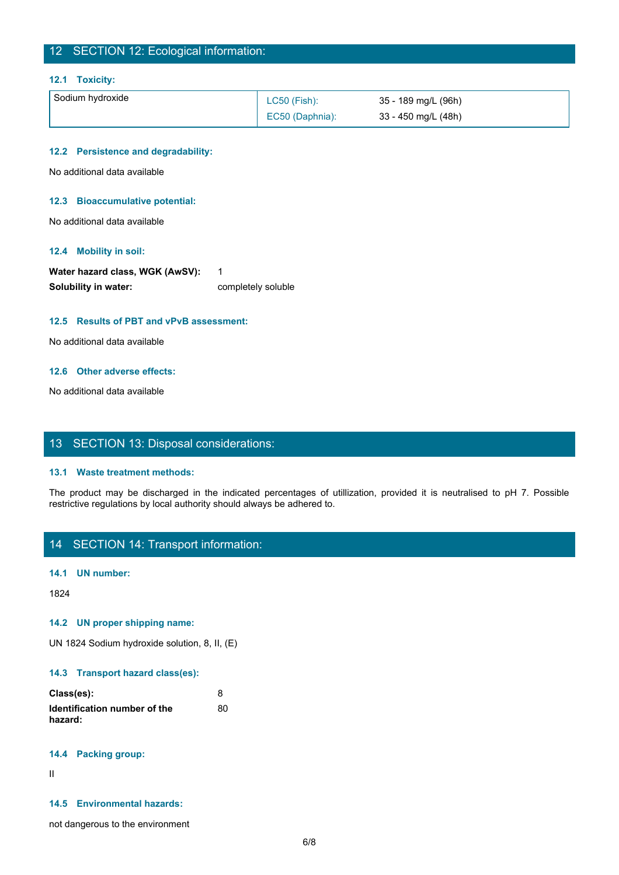# 12 SECTION 12: Ecological information:

#### **12.1 Toxicity:**

| Sodium hydroxide | <b>LC50 (Fish):</b> | 35 - 189 mg/L (96h) |
|------------------|---------------------|---------------------|
|                  | EC50 (Daphnia):     | 33 - 450 mg/L (48h) |

#### **12.2 Persistence and degradability:**

No additional data available

#### **12.3 Bioaccumulative potential:**

No additional data available

#### **12.4 Mobility in soil:**

| Water hazard class, WGK (AwSV): |                    |
|---------------------------------|--------------------|
| Solubility in water:            | completely soluble |

#### **12.5 Results of PBT and vPvB assessment:**

No additional data available

#### **12.6 Other adverse effects:**

No additional data available

## 13 SECTION 13: Disposal considerations:

#### **13.1 Waste treatment methods:**

The product may be discharged in the indicated percentages of utilization of the indicated be discharged in the indicated percentages of utilizations of the indicated percentages of utilization, provided it is neutralised restrictive regulations by local authority should always be adhered to.

# 14 SECTION 14: Transport information:

#### **14.1 UN number:**

1824

#### **14.2 UN proper shipping name:**

UN 1824 Sodium hydroxide solution, 8, II, (E)

#### **14.3 Transport hazard class(es):**

| Class(es):                   |    |
|------------------------------|----|
| Identification number of the | 80 |
| hazard:                      |    |

#### **14.4 Packing group:**

II and the state of the state of the state of the state of the state of the state of the state of the state of

## **14.5 Environmental hazards:**

not dangerous to the environment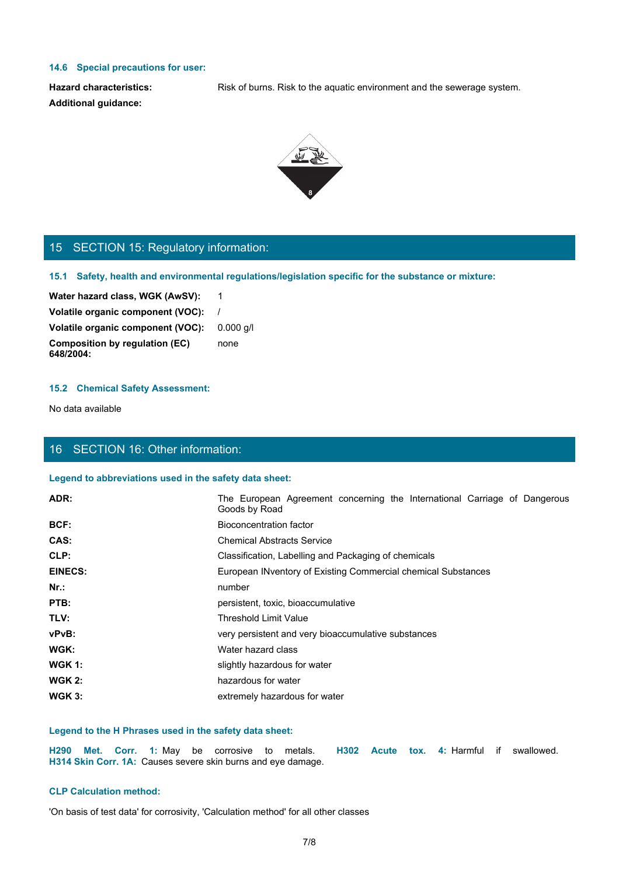#### **14.6 Special precautions for user:**

**Additional guidance:**

Hazard characteristics: Risk of burns. Risk to the aquatic environment and the sewerage system.



# 15 SECTION 15: Regulatory information:

#### **15.2 Chemical Safety Assessment:**

# 16 SECTION 16: Other information:

#### **Legend to abbreviations used in the safety data sheet:**

| 15 SECTION 15: Regulatory information:                                                                         |                                                                                                      |
|----------------------------------------------------------------------------------------------------------------|------------------------------------------------------------------------------------------------------|
|                                                                                                                | 15.1 Safety, health and environmental regulations/legislation specific for the substance or mixture: |
| Water hazard class, WGK (AwSV):                                                                                | $\overline{1}$                                                                                       |
| Volatile organic component (VOC):                                                                              |                                                                                                      |
| Volatile organic component (VOC):                                                                              | $0.000$ g/l                                                                                          |
| <b>Composition by regulation (EC)</b><br>648/2004:                                                             | none                                                                                                 |
| <b>15.2 Chemical Safety Assessment:</b>                                                                        |                                                                                                      |
| No data available                                                                                              |                                                                                                      |
| 16 SECTION 16: Other information:                                                                              |                                                                                                      |
| Legend to abbreviations used in the safety data sheet:                                                         |                                                                                                      |
| ADR:                                                                                                           | The European Agreement concerning the International Carriage of Dangerous                            |
|                                                                                                                | Goods by Road                                                                                        |
| BCF:                                                                                                           | <b>Bioconcentration factor</b>                                                                       |
| CAS:                                                                                                           | <b>Chemical Abstracts Service</b>                                                                    |
| CLP:                                                                                                           | Classification, Labelling and Packaging of chemicals                                                 |
| <b>EINECS:</b>                                                                                                 | European INventory of Existing Commercial chemical Substances                                        |
| Nr.:                                                                                                           | number                                                                                               |
| PTB:                                                                                                           | persistent, toxic, bioaccumulative                                                                   |
| TLV:                                                                                                           | <b>Threshold Limit Value</b>                                                                         |
| vPvB:                                                                                                          | very persistent and very bioaccumulative substances                                                  |
| WGK:                                                                                                           | Water hazard class                                                                                   |
| <b>WGK 1:</b>                                                                                                  | slightly hazardous for water                                                                         |
| <b>WGK 2:</b>                                                                                                  | hazardous for water                                                                                  |
| <b>WGK 3:</b>                                                                                                  | extremely hazardous for water                                                                        |
| Legend to the H Phrases used in the safety data sheet:                                                         |                                                                                                      |
| H290 Met. Corr. 1: May be corrosive to metals.<br>H314 Skin Corr. 1A: Causes severe skin burns and eye damage. | H302 Acute tox. 4: Harmful if swallowed.                                                             |
| <b>CLP Calculation method:</b>                                                                                 |                                                                                                      |
| 'On basis of test data' for corrosivity, 'Calculation method' for all other classes                            |                                                                                                      |

#### **Legend to the H Phrases used in the safety data sheet:**

## **CLP Calculation method:**